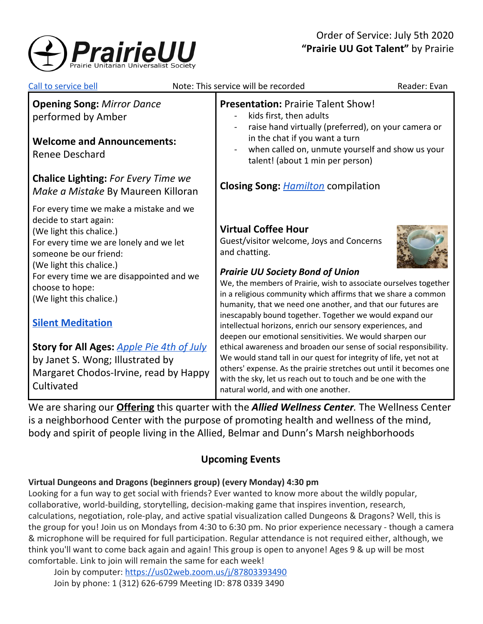

| Call to service bell                                                                                                                                                                                                                                                                                                                                                                                                                                                  | Note: This service will be recorded                                                                                                                                                                                                                                                                                                                                                                                                                                                                                                                                                                                                                                                                                                                                                                                                                   | Reader: Evan |
|-----------------------------------------------------------------------------------------------------------------------------------------------------------------------------------------------------------------------------------------------------------------------------------------------------------------------------------------------------------------------------------------------------------------------------------------------------------------------|-------------------------------------------------------------------------------------------------------------------------------------------------------------------------------------------------------------------------------------------------------------------------------------------------------------------------------------------------------------------------------------------------------------------------------------------------------------------------------------------------------------------------------------------------------------------------------------------------------------------------------------------------------------------------------------------------------------------------------------------------------------------------------------------------------------------------------------------------------|--------------|
| <b>Opening Song: Mirror Dance</b><br>performed by Amber<br><b>Welcome and Announcements:</b><br><b>Renee Deschard</b>                                                                                                                                                                                                                                                                                                                                                 | <b>Presentation: Prairie Talent Show!</b><br>kids first, then adults<br>raise hand virtually (preferred), on your camera or<br>in the chat if you want a turn<br>when called on, unmute yourself and show us your<br>talent! (about 1 min per person)                                                                                                                                                                                                                                                                                                                                                                                                                                                                                                                                                                                                 |              |
| <b>Chalice Lighting: For Every Time we</b><br>Make a Mistake By Maureen Killoran                                                                                                                                                                                                                                                                                                                                                                                      | <b>Closing Song: <i>Hamilton</i></b> compilation                                                                                                                                                                                                                                                                                                                                                                                                                                                                                                                                                                                                                                                                                                                                                                                                      |              |
| For every time we make a mistake and we<br>decide to start again:<br>(We light this chalice.)<br>For every time we are lonely and we let<br>someone be our friend:<br>(We light this chalice.)<br>For every time we are disappointed and we<br>choose to hope:<br>(We light this chalice.)<br><b>Silent Meditation</b><br><b>Story for All Ages: Apple Pie 4th of July</b><br>by Janet S. Wong; Illustrated by<br>Margaret Chodos-Irvine, read by Happy<br>Cultivated | <b>Virtual Coffee Hour</b><br>Guest/visitor welcome, Joys and Concerns<br>and chatting.<br><b>Prairie UU Society Bond of Union</b><br>We, the members of Prairie, wish to associate ourselves together<br>in a religious community which affirms that we share a common<br>humanity, that we need one another, and that our futures are<br>inescapably bound together. Together we would expand our<br>intellectual horizons, enrich our sensory experiences, and<br>deepen our emotional sensitivities. We would sharpen our<br>ethical awareness and broaden our sense of social responsibility.<br>We would stand tall in our quest for integrity of life, yet not at<br>others' expense. As the prairie stretches out until it becomes one<br>with the sky, let us reach out to touch and be one with the<br>natural world, and with one another. |              |

We are sharing our **[Offering](https://www.paypal.com/cgi-bin/webscr?cmd=_s-xclick&hosted_button_id=T3LVLF6FD6LPE&source=url)** this quarter with the *Allied Wellness Center.* The Wellness Center is a neighborhood Center with the purpose of promoting health and wellness of the mind, body and spirit of people living in the Allied, Belmar and Dunn's Marsh neighborhoods

# **Upcoming Events**

## **Virtual Dungeons and Dragons (beginners group) (every Monday) 4:30 pm**

Looking for a fun way to get social with friends? Ever wanted to know more about the wildly popular, collaborative, world-building, storytelling, decision-making game that inspires invention, research, calculations, negotiation, role-play, and active spatial visualization called Dungeons & Dragons? Well, this is the group for you! Join us on Mondays from 4:30 to 6:30 pm. No prior experience necessary - though a camera & microphone will be required for full participation. Regular attendance is not required either, although, we think you'll want to come back again and again! This group is open to anyone! Ages 9 & up will be most comfortable. Link to join will remain the same for each week!

Join by computer: <https://us02web.zoom.us/j/87803393490> Join by phone: 1 (312) 626-6799 Meeting ID: 878 0339 3490